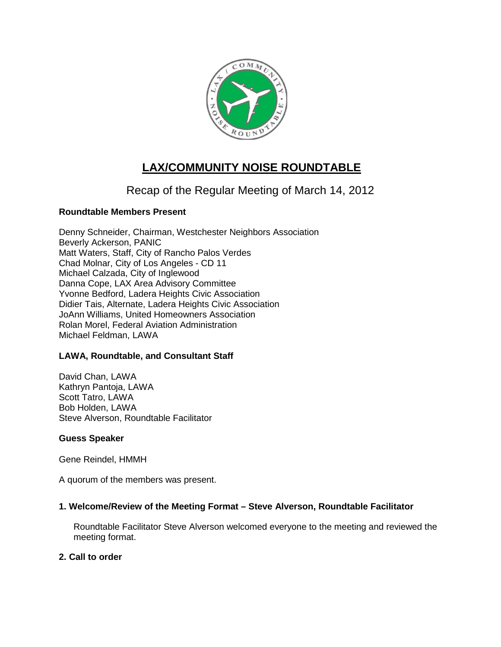

# **LAX/COMMUNITY NOISE ROUNDTABLE**

# Recap of the Regular Meeting of March 14, 2012

# **Roundtable Members Present**

Denny Schneider, Chairman, Westchester Neighbors Association Beverly Ackerson, PANIC Matt Waters, Staff, City of Rancho Palos Verdes Chad Molnar, City of Los Angeles - CD 11 Michael Calzada, City of Inglewood Danna Cope, LAX Area Advisory Committee Yvonne Bedford, Ladera Heights Civic Association Didier Tais, Alternate, Ladera Heights Civic Association JoAnn Williams, United Homeowners Association Rolan Morel, Federal Aviation Administration Michael Feldman, LAWA

#### **LAWA, Roundtable, and Consultant Staff**

David Chan, LAWA Kathryn Pantoja, LAWA Scott Tatro, LAWA Bob Holden, LAWA Steve Alverson, Roundtable Facilitator

#### **Guess Speaker**

Gene Reindel, HMMH

A quorum of the members was present.

#### **1. Welcome/Review of the Meeting Format – Steve Alverson, Roundtable Facilitator**

Roundtable Facilitator Steve Alverson welcomed everyone to the meeting and reviewed the meeting format.

#### **2. Call to order**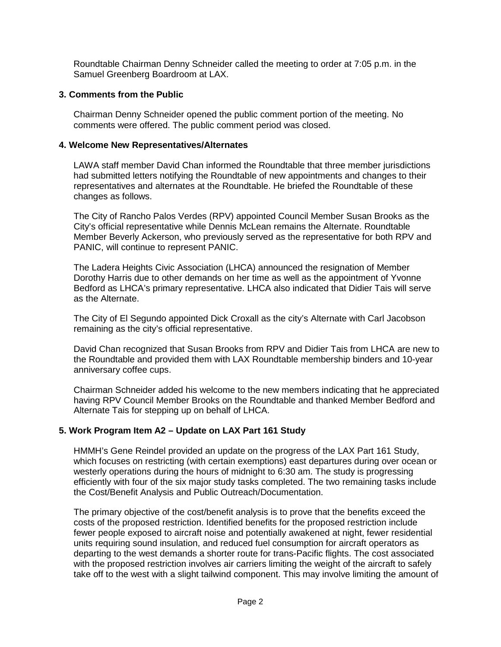Roundtable Chairman Denny Schneider called the meeting to order at 7:05 p.m. in the Samuel Greenberg Boardroom at LAX.

#### **3. Comments from the Public**

Chairman Denny Schneider opened the public comment portion of the meeting. No comments were offered. The public comment period was closed.

#### **4. Welcome New Representatives/Alternates**

LAWA staff member David Chan informed the Roundtable that three member jurisdictions had submitted letters notifying the Roundtable of new appointments and changes to their representatives and alternates at the Roundtable. He briefed the Roundtable of these changes as follows.

The City of Rancho Palos Verdes (RPV) appointed Council Member Susan Brooks as the City's official representative while Dennis McLean remains the Alternate. Roundtable Member Beverly Ackerson, who previously served as the representative for both RPV and PANIC, will continue to represent PANIC.

The Ladera Heights Civic Association (LHCA) announced the resignation of Member Dorothy Harris due to other demands on her time as well as the appointment of Yvonne Bedford as LHCA's primary representative. LHCA also indicated that Didier Tais will serve as the Alternate.

The City of El Segundo appointed Dick Croxall as the city's Alternate with Carl Jacobson remaining as the city's official representative.

David Chan recognized that Susan Brooks from RPV and Didier Tais from LHCA are new to the Roundtable and provided them with LAX Roundtable membership binders and 10-year anniversary coffee cups.

Chairman Schneider added his welcome to the new members indicating that he appreciated having RPV Council Member Brooks on the Roundtable and thanked Member Bedford and Alternate Tais for stepping up on behalf of LHCA.

# **5. Work Program Item A2 – Update on LAX Part 161 Study**

HMMH's Gene Reindel provided an update on the progress of the LAX Part 161 Study, which focuses on restricting (with certain exemptions) east departures during over ocean or westerly operations during the hours of midnight to 6:30 am. The study is progressing efficiently with four of the six major study tasks completed. The two remaining tasks include the Cost/Benefit Analysis and Public Outreach/Documentation.

The primary objective of the cost/benefit analysis is to prove that the benefits exceed the costs of the proposed restriction. Identified benefits for the proposed restriction include fewer people exposed to aircraft noise and potentially awakened at night, fewer residential units requiring sound insulation, and reduced fuel consumption for aircraft operators as departing to the west demands a shorter route for trans-Pacific flights. The cost associated with the proposed restriction involves air carriers limiting the weight of the aircraft to safely take off to the west with a slight tailwind component. This may involve limiting the amount of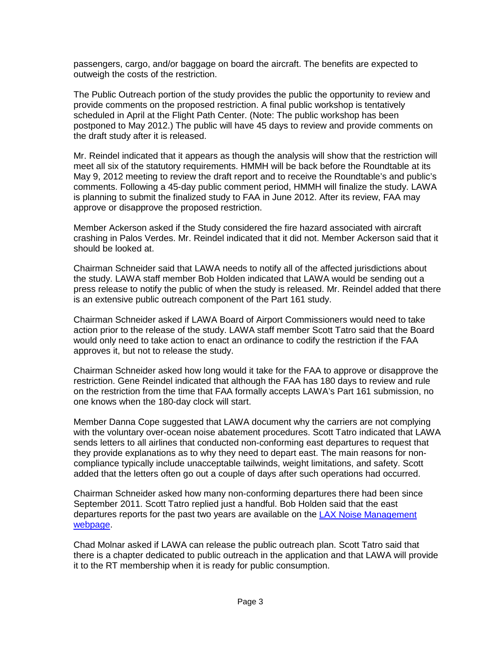passengers, cargo, and/or baggage on board the aircraft. The benefits are expected to outweigh the costs of the restriction.

The Public Outreach portion of the study provides the public the opportunity to review and provide comments on the proposed restriction. A final public workshop is tentatively scheduled in April at the Flight Path Center. (Note: The public workshop has been postponed to May 2012.) The public will have 45 days to review and provide comments on the draft study after it is released.

Mr. Reindel indicated that it appears as though the analysis will show that the restriction will meet all six of the statutory requirements. HMMH will be back before the Roundtable at its May 9, 2012 meeting to review the draft report and to receive the Roundtable's and public's comments. Following a 45-day public comment period, HMMH will finalize the study. LAWA is planning to submit the finalized study to FAA in June 2012. After its review, FAA may approve or disapprove the proposed restriction.

Member Ackerson asked if the Study considered the fire hazard associated with aircraft crashing in Palos Verdes. Mr. Reindel indicated that it did not. Member Ackerson said that it should be looked at.

Chairman Schneider said that LAWA needs to notify all of the affected jurisdictions about the study. LAWA staff member Bob Holden indicated that LAWA would be sending out a press release to notify the public of when the study is released. Mr. Reindel added that there is an extensive public outreach component of the Part 161 study.

Chairman Schneider asked if LAWA Board of Airport Commissioners would need to take action prior to the release of the study. LAWA staff member Scott Tatro said that the Board would only need to take action to enact an ordinance to codify the restriction if the FAA approves it, but not to release the study.

Chairman Schneider asked how long would it take for the FAA to approve or disapprove the restriction. Gene Reindel indicated that although the FAA has 180 days to review and rule on the restriction from the time that FAA formally accepts LAWA's Part 161 submission, no one knows when the 180-day clock will start.

Member Danna Cope suggested that LAWA document why the carriers are not complying with the voluntary over-ocean noise abatement procedures. Scott Tatro indicated that LAWA sends letters to all airlines that conducted non-conforming east departures to request that they provide explanations as to why they need to depart east. The main reasons for noncompliance typically include unacceptable tailwinds, weight limitations, and safety. Scott added that the letters often go out a couple of days after such operations had occurred.

Chairman Schneider asked how many non-conforming departures there had been since September 2011. Scott Tatro replied just a handful. Bob Holden said that the east departures reports for the past two years are available on the [LAX Noise Management](http://www.lawa.org/LAXNoiseEDR.aspx)  [webpage.](http://www.lawa.org/LAXNoiseEDR.aspx)

Chad Molnar asked if LAWA can release the public outreach plan. Scott Tatro said that there is a chapter dedicated to public outreach in the application and that LAWA will provide it to the RT membership when it is ready for public consumption.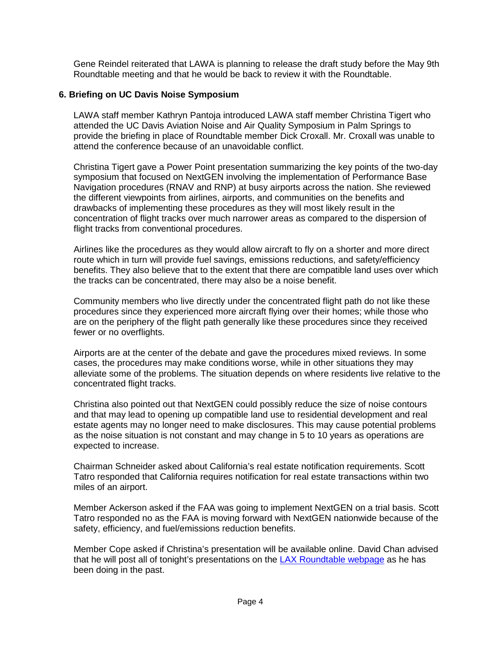Gene Reindel reiterated that LAWA is planning to release the draft study before the May 9th Roundtable meeting and that he would be back to review it with the Roundtable.

# **6. Briefing on UC Davis Noise Symposium**

LAWA staff member Kathryn Pantoja introduced LAWA staff member Christina Tigert who attended the UC Davis Aviation Noise and Air Quality Symposium in Palm Springs to provide the briefing in place of Roundtable member Dick Croxall. Mr. Croxall was unable to attend the conference because of an unavoidable conflict.

Christina Tigert gave a Power Point presentation summarizing the key points of the two-day symposium that focused on NextGEN involving the implementation of Performance Base Navigation procedures (RNAV and RNP) at busy airports across the nation. She reviewed the different viewpoints from airlines, airports, and communities on the benefits and drawbacks of implementing these procedures as they will most likely result in the concentration of flight tracks over much narrower areas as compared to the dispersion of flight tracks from conventional procedures.

Airlines like the procedures as they would allow aircraft to fly on a shorter and more direct route which in turn will provide fuel savings, emissions reductions, and safety/efficiency benefits. They also believe that to the extent that there are compatible land uses over which the tracks can be concentrated, there may also be a noise benefit.

Community members who live directly under the concentrated flight path do not like these procedures since they experienced more aircraft flying over their homes; while those who are on the periphery of the flight path generally like these procedures since they received fewer or no overflights.

Airports are at the center of the debate and gave the procedures mixed reviews. In some cases, the procedures may make conditions worse, while in other situations they may alleviate some of the problems. The situation depends on where residents live relative to the concentrated flight tracks.

Christina also pointed out that NextGEN could possibly reduce the size of noise contours and that may lead to opening up compatible land use to residential development and real estate agents may no longer need to make disclosures. This may cause potential problems as the noise situation is not constant and may change in 5 to 10 years as operations are expected to increase.

Chairman Schneider asked about California's real estate notification requirements. Scott Tatro responded that California requires notification for real estate transactions within two miles of an airport.

Member Ackerson asked if the FAA was going to implement NextGEN on a trial basis. Scott Tatro responded no as the FAA is moving forward with NextGEN nationwide because of the safety, efficiency, and fuel/emissions reduction benefits.

Member Cope asked if Christina's presentation will be available online. David Chan advised that he will post all of tonight's presentations on the [LAX Roundtable webpage](http://www.lawa.org/LAXNoiseRoundTable.aspx) as he has been doing in the past.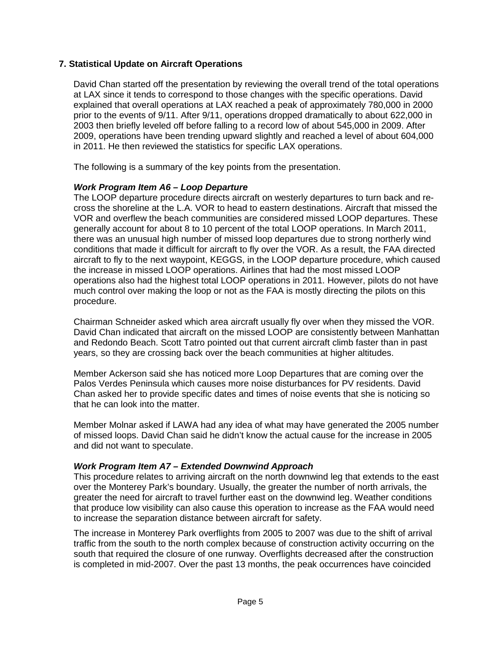# **7. Statistical Update on Aircraft Operations**

David Chan started off the presentation by reviewing the overall trend of the total operations at LAX since it tends to correspond to those changes with the specific operations. David explained that overall operations at LAX reached a peak of approximately 780,000 in 2000 prior to the events of 9/11. After 9/11, operations dropped dramatically to about 622,000 in 2003 then briefly leveled off before falling to a record low of about 545,000 in 2009. After 2009, operations have been trending upward slightly and reached a level of about 604,000 in 2011. He then reviewed the statistics for specific LAX operations.

The following is a summary of the key points from the presentation.

#### *Work Program Item A6 – Loop Departure*

The LOOP departure procedure directs aircraft on westerly departures to turn back and recross the shoreline at the L.A. VOR to head to eastern destinations. Aircraft that missed the VOR and overflew the beach communities are considered missed LOOP departures. These generally account for about 8 to 10 percent of the total LOOP operations. In March 2011, there was an unusual high number of missed loop departures due to strong northerly wind conditions that made it difficult for aircraft to fly over the VOR. As a result, the FAA directed aircraft to fly to the next waypoint, KEGGS, in the LOOP departure procedure, which caused the increase in missed LOOP operations. Airlines that had the most missed LOOP operations also had the highest total LOOP operations in 2011. However, pilots do not have much control over making the loop or not as the FAA is mostly directing the pilots on this procedure.

Chairman Schneider asked which area aircraft usually fly over when they missed the VOR. David Chan indicated that aircraft on the missed LOOP are consistently between Manhattan and Redondo Beach. Scott Tatro pointed out that current aircraft climb faster than in past years, so they are crossing back over the beach communities at higher altitudes.

Member Ackerson said she has noticed more Loop Departures that are coming over the Palos Verdes Peninsula which causes more noise disturbances for PV residents. David Chan asked her to provide specific dates and times of noise events that she is noticing so that he can look into the matter.

Member Molnar asked if LAWA had any idea of what may have generated the 2005 number of missed loops. David Chan said he didn't know the actual cause for the increase in 2005 and did not want to speculate.

#### *Work Program Item A7 – Extended Downwind Approach*

This procedure relates to arriving aircraft on the north downwind leg that extends to the east over the Monterey Park's boundary. Usually, the greater the number of north arrivals, the greater the need for aircraft to travel further east on the downwind leg. Weather conditions that produce low visibility can also cause this operation to increase as the FAA would need to increase the separation distance between aircraft for safety.

The increase in Monterey Park overflights from 2005 to 2007 was due to the shift of arrival traffic from the south to the north complex because of construction activity occurring on the south that required the closure of one runway. Overflights decreased after the construction is completed in mid-2007. Over the past 13 months, the peak occurrences have coincided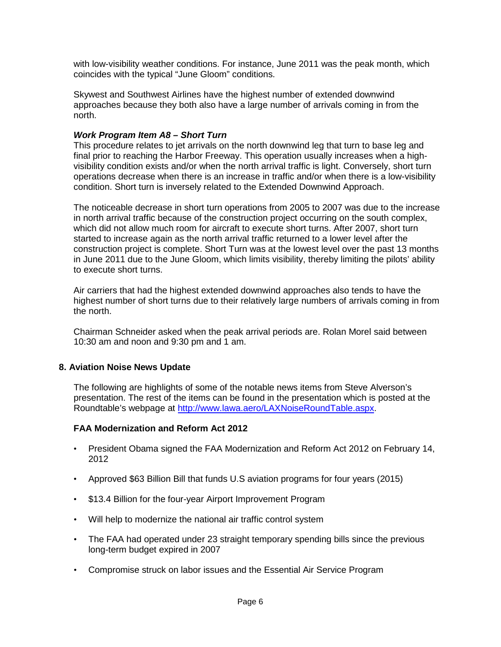with low-visibility weather conditions. For instance, June 2011 was the peak month, which coincides with the typical "June Gloom" conditions.

Skywest and Southwest Airlines have the highest number of extended downwind approaches because they both also have a large number of arrivals coming in from the north.

#### *Work Program Item A8 – Short Turn*

This procedure relates to jet arrivals on the north downwind leg that turn to base leg and final prior to reaching the Harbor Freeway. This operation usually increases when a highvisibility condition exists and/or when the north arrival traffic is light. Conversely, short turn operations decrease when there is an increase in traffic and/or when there is a low-visibility condition. Short turn is inversely related to the Extended Downwind Approach.

The noticeable decrease in short turn operations from 2005 to 2007 was due to the increase in north arrival traffic because of the construction project occurring on the south complex, which did not allow much room for aircraft to execute short turns. After 2007, short turn started to increase again as the north arrival traffic returned to a lower level after the construction project is complete. Short Turn was at the lowest level over the past 13 months in June 2011 due to the June Gloom, which limits visibility, thereby limiting the pilots' ability to execute short turns.

Air carriers that had the highest extended downwind approaches also tends to have the highest number of short turns due to their relatively large numbers of arrivals coming in from the north.

Chairman Schneider asked when the peak arrival periods are. Rolan Morel said between 10:30 am and noon and 9:30 pm and 1 am.

#### **8. Aviation Noise News Update**

The following are highlights of some of the notable news items from Steve Alverson's presentation. The rest of the items can be found in the presentation which is posted at the Roundtable's webpage at [http://www.lawa.aero/LAXNoiseRoundTable.aspx.](http://www.lawa.aero/LAXNoiseRoundTable.aspx)

# **FAA Modernization and Reform Act 2012**

- President Obama signed the FAA Modernization and Reform Act 2012 on February 14, 2012
- Approved \$63 Billion Bill that funds U.S aviation programs for four years (2015)
- \$13.4 Billion for the four-year Airport Improvement Program
- Will help to modernize the national air traffic control system
- The FAA had operated under 23 straight temporary spending bills since the previous long-term budget expired in 2007
- Compromise struck on labor issues and the Essential Air Service Program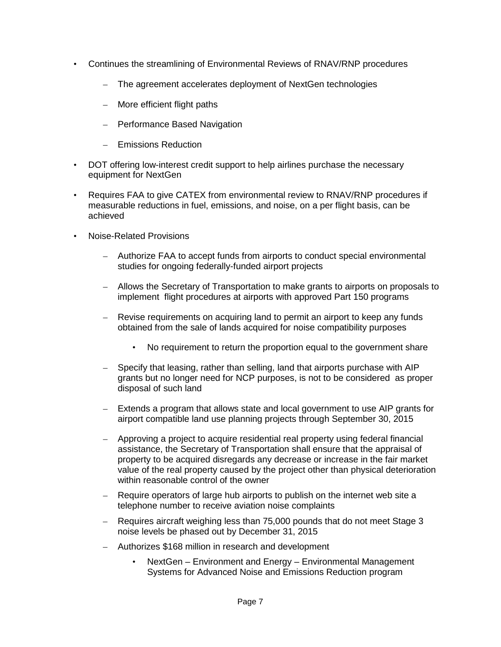- Continues the streamlining of Environmental Reviews of RNAV/RNP procedures
	- The agreement accelerates deployment of NextGen technologies
	- More efficient flight paths
	- Performance Based Navigation
	- Emissions Reduction
- DOT offering low-interest credit support to help airlines purchase the necessary equipment for NextGen
- Requires FAA to give CATEX from environmental review to RNAV/RNP procedures if measurable reductions in fuel, emissions, and noise, on a per flight basis, can be achieved
- Noise-Related Provisions
	- Authorize FAA to accept funds from airports to conduct special environmental studies for ongoing federally-funded airport projects
	- Allows the Secretary of Transportation to make grants to airports on proposals to implement flight procedures at airports with approved Part 150 programs
	- Revise requirements on acquiring land to permit an airport to keep any funds obtained from the sale of lands acquired for noise compatibility purposes
		- No requirement to return the proportion equal to the government share
	- Specify that leasing, rather than selling, land that airports purchase with AIP grants but no longer need for NCP purposes, is not to be considered as proper disposal of such land
	- Extends a program that allows state and local government to use AIP grants for airport compatible land use planning projects through September 30, 2015
	- Approving a project to acquire residential real property using federal financial assistance, the Secretary of Transportation shall ensure that the appraisal of property to be acquired disregards any decrease or increase in the fair market value of the real property caused by the project other than physical deterioration within reasonable control of the owner
	- Require operators of large hub airports to publish on the internet web site a telephone number to receive aviation noise complaints
	- Requires aircraft weighing less than 75,000 pounds that do not meet Stage 3 noise levels be phased out by December 31, 2015
	- Authorizes \$168 million in research and development
		- NextGen Environment and Energy Environmental Management Systems for Advanced Noise and Emissions Reduction program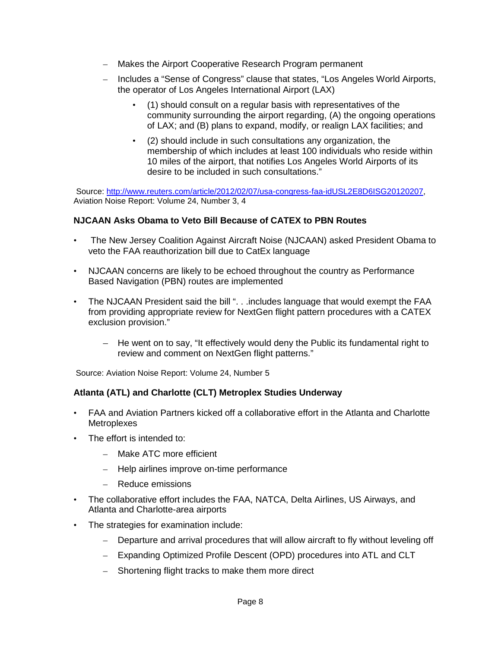- Makes the Airport Cooperative Research Program permanent
- Includes a "Sense of Congress" clause that states, "Los Angeles World Airports, the operator of Los Angeles International Airport (LAX)
	- (1) should consult on a regular basis with representatives of the community surrounding the airport regarding, (A) the ongoing operations of LAX; and (B) plans to expand, modify, or realign LAX facilities; and
	- (2) should include in such consultations any organization, the membership of which includes at least 100 individuals who reside within 10 miles of the airport, that notifies Los Angeles World Airports of its desire to be included in such consultations."

Source: [http://www.reuters.com/article/2012/02/07/usa-congress-faa-idUSL2E8D6ISG20120207,](http://www.reuters.com/article/2012/02/07/usa-congress-faa-idUSL2E8D6ISG20120207) Aviation Noise Report: Volume 24, Number 3, 4

# **NJCAAN Asks Obama to Veto Bill Because of CATEX to PBN Routes**

- The New Jersey Coalition Against Aircraft Noise (NJCAAN) asked President Obama to veto the FAA reauthorization bill due to CatEx language
- NJCAAN concerns are likely to be echoed throughout the country as Performance Based Navigation (PBN) routes are implemented
- The NJCAAN President said the bill ". . .includes language that would exempt the FAA from providing appropriate review for NextGen flight pattern procedures with a CATEX exclusion provision."
	- He went on to say, "It effectively would deny the Public its fundamental right to review and comment on NextGen flight patterns."

Source: Aviation Noise Report: Volume 24, Number 5

# **Atlanta (ATL) and Charlotte (CLT) Metroplex Studies Underway**

- FAA and Aviation Partners kicked off a collaborative effort in the Atlanta and Charlotte **Metroplexes**
- The effort is intended to:
	- Make ATC more efficient
	- Help airlines improve on-time performance
	- Reduce emissions
- The collaborative effort includes the FAA, NATCA, Delta Airlines, US Airways, and Atlanta and Charlotte-area airports
- The strategies for examination include:
	- Departure and arrival procedures that will allow aircraft to fly without leveling off
	- Expanding Optimized Profile Descent (OPD) procedures into ATL and CLT
	- Shortening flight tracks to make them more direct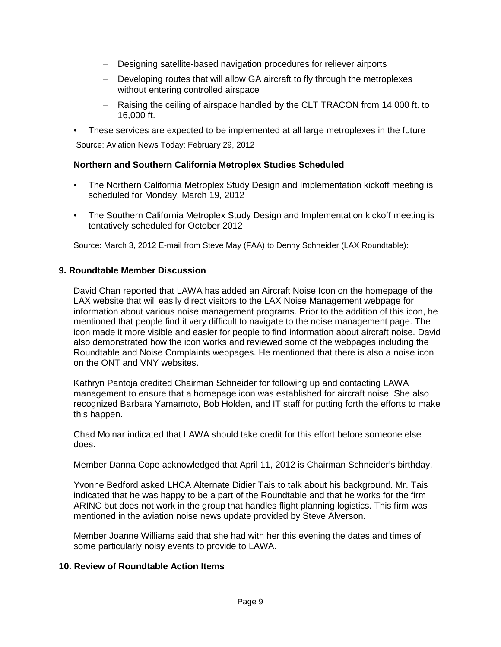- Designing satellite-based navigation procedures for reliever airports
- Developing routes that will allow GA aircraft to fly through the metroplexes without entering controlled airspace
- Raising the ceiling of airspace handled by the CLT TRACON from 14,000 ft. to 16,000 ft.
- These services are expected to be implemented at all large metroplexes in the future Source: Aviation News Today: February 29, 2012

#### **Northern and Southern California Metroplex Studies Scheduled**

- The Northern California Metroplex Study Design and Implementation kickoff meeting is scheduled for Monday, March 19, 2012
- The Southern California Metroplex Study Design and Implementation kickoff meeting is tentatively scheduled for October 2012

Source: March 3, 2012 E-mail from Steve May (FAA) to Denny Schneider (LAX Roundtable):

#### **9. Roundtable Member Discussion**

David Chan reported that LAWA has added an Aircraft Noise Icon on the homepage of the LAX website that will easily direct visitors to the LAX Noise Management webpage for information about various noise management programs. Prior to the addition of this icon, he mentioned that people find it very difficult to navigate to the noise management page. The icon made it more visible and easier for people to find information about aircraft noise. David also demonstrated how the icon works and reviewed some of the webpages including the Roundtable and Noise Complaints webpages. He mentioned that there is also a noise icon on the ONT and VNY websites.

Kathryn Pantoja credited Chairman Schneider for following up and contacting LAWA management to ensure that a homepage icon was established for aircraft noise. She also recognized Barbara Yamamoto, Bob Holden, and IT staff for putting forth the efforts to make this happen.

Chad Molnar indicated that LAWA should take credit for this effort before someone else does.

Member Danna Cope acknowledged that April 11, 2012 is Chairman Schneider's birthday.

Yvonne Bedford asked LHCA Alternate Didier Tais to talk about his background. Mr. Tais indicated that he was happy to be a part of the Roundtable and that he works for the firm ARINC but does not work in the group that handles flight planning logistics. This firm was mentioned in the aviation noise news update provided by Steve Alverson.

Member Joanne Williams said that she had with her this evening the dates and times of some particularly noisy events to provide to LAWA.

#### **10. Review of Roundtable Action Items**